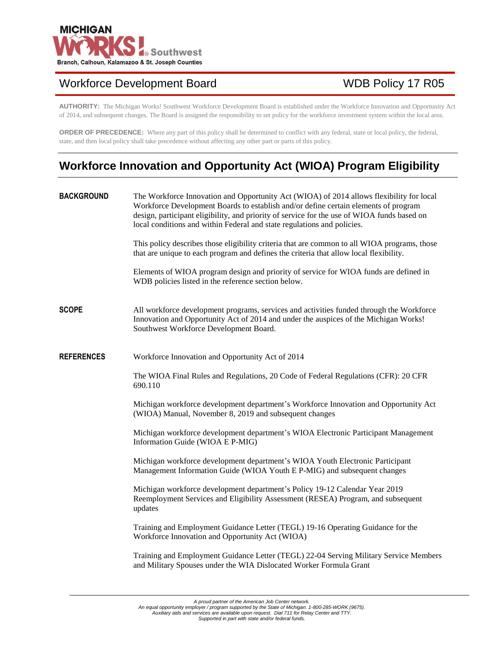

## Workforce Development Board WDB Policy 17 R05

**AUTHORITY:** The Michigan Works! Southwest Workforce Development Board is established under the Workforce Innovation and Opportunity Act of 2014, and subsequent changes. The Board is assigned the responsibility to set policy for the workforce investment system within the local area.

**ORDER OF PRECEDENCE:** Where any part of this policy shall be determined to conflict with any federal, state or local policy, the federal, state, and then local policy shall take precedence without affecting any other part or parts of this policy.

# **Workforce Innovation and Opportunity Act (WIOA) Program Eligibility**

| <b>BACKGROUND</b> | The Workforce Innovation and Opportunity Act (WIOA) of 2014 allows flexibility for local<br>Workforce Development Boards to establish and/or define certain elements of program<br>design, participant eligibility, and priority of service for the use of WIOA funds based on<br>local conditions and within Federal and state regulations and policies. |  |
|-------------------|-----------------------------------------------------------------------------------------------------------------------------------------------------------------------------------------------------------------------------------------------------------------------------------------------------------------------------------------------------------|--|
|                   | This policy describes those eligibility criteria that are common to all WIOA programs, those<br>that are unique to each program and defines the criteria that allow local flexibility.                                                                                                                                                                    |  |
|                   | Elements of WIOA program design and priority of service for WIOA funds are defined in<br>WDB policies listed in the reference section below.                                                                                                                                                                                                              |  |
| <b>SCOPE</b>      | All workforce development programs, services and activities funded through the Workforce<br>Innovation and Opportunity Act of 2014 and under the auspices of the Michigan Works!<br>Southwest Workforce Development Board.                                                                                                                                |  |
| <b>REFERENCES</b> | Workforce Innovation and Opportunity Act of 2014                                                                                                                                                                                                                                                                                                          |  |
|                   | The WIOA Final Rules and Regulations, 20 Code of Federal Regulations (CFR): 20 CFR<br>690.110                                                                                                                                                                                                                                                             |  |
|                   | Michigan workforce development department's Workforce Innovation and Opportunity Act<br>(WIOA) Manual, November 8, 2019 and subsequent changes                                                                                                                                                                                                            |  |
|                   | Michigan workforce development department's WIOA Electronic Participant Management<br>Information Guide (WIOA E P-MIG)                                                                                                                                                                                                                                    |  |
|                   | Michigan workforce development department's WIOA Youth Electronic Participant<br>Management Information Guide (WIOA Youth E P-MIG) and subsequent changes                                                                                                                                                                                                 |  |
|                   | Michigan workforce development department's Policy 19-12 Calendar Year 2019<br>Reemployment Services and Eligibility Assessment (RESEA) Program, and subsequent<br>updates                                                                                                                                                                                |  |
|                   | Training and Employment Guidance Letter (TEGL) 19-16 Operating Guidance for the<br>Workforce Innovation and Opportunity Act (WIOA)                                                                                                                                                                                                                        |  |
|                   | Training and Employment Guidance Letter (TEGL) 22-04 Serving Military Service Members<br>and Military Spouses under the WIA Dislocated Worker Formula Grant                                                                                                                                                                                               |  |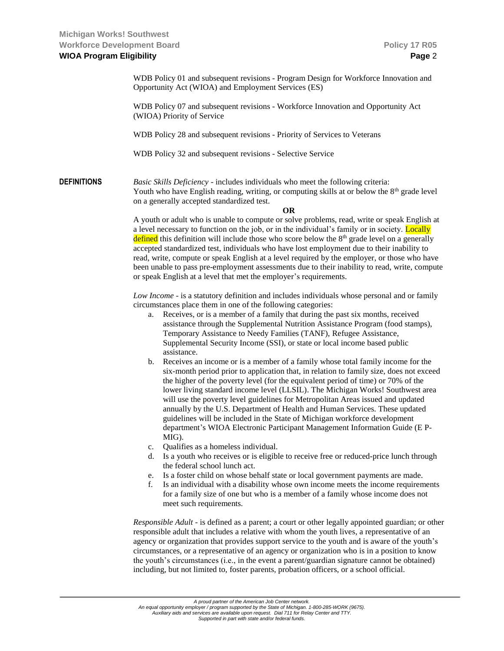WDB Policy 01 and subsequent revisions - Program Design for Workforce Innovation and Opportunity Act (WIOA) and Employment Services (ES)

WDB Policy 07 and subsequent revisions - Workforce Innovation and Opportunity Act (WIOA) Priority of Service

WDB Policy 28 and subsequent revisions - Priority of Services to Veterans

WDB Policy 32 and subsequent revisions - Selective Service

**DEFINITIONS** *Basic Skills Deficiency* - includes individuals who meet the following criteria: Youth who have English reading, writing, or computing skills at or below the  $8<sup>th</sup>$  grade level on a generally accepted standardized test.

#### **OR**

A youth or adult who is unable to compute or solve problems, read, write or speak English at a level necessary to function on the job, or in the individual's family or in society. Locally defined this definition will include those who score below the 8<sup>th</sup> grade level on a generally accepted standardized test, individuals who have lost employment due to their inability to read, write, compute or speak English at a level required by the employer, or those who have been unable to pass pre-employment assessments due to their inability to read, write, compute or speak English at a level that met the employer's requirements.

*Low Income* - is a statutory definition and includes individuals whose personal and or family circumstances place them in one of the following categories:

- a. Receives, or is a member of a family that during the past six months, received assistance through the Supplemental Nutrition Assistance Program (food stamps), Temporary Assistance to Needy Families (TANF), Refugee Assistance, Supplemental Security Income (SSI), or state or local income based public assistance.
- b. Receives an income or is a member of a family whose total family income for the six-month period prior to application that, in relation to family size, does not exceed the higher of the poverty level (for the equivalent period of time) or 70% of the lower living standard income level (LLSIL). The Michigan Works! Southwest area will use the poverty level guidelines for Metropolitan Areas issued and updated annually by the U.S. Department of Health and Human Services. These updated guidelines will be included in the State of Michigan workforce development department's WIOA Electronic Participant Management Information Guide (E P-MIG).
- c. Qualifies as a homeless individual.
- d. Is a youth who receives or is eligible to receive free or reduced-price lunch through the federal school lunch act.
- e. Is a foster child on whose behalf state or local government payments are made.
- f. Is an individual with a disability whose own income meets the income requirements for a family size of one but who is a member of a family whose income does not meet such requirements.

*Responsible Adult* - is defined as a parent; a court or other legally appointed guardian; or other responsible adult that includes a relative with whom the youth lives, a representative of an agency or organization that provides support service to the youth and is aware of the youth's circumstances, or a representative of an agency or organization who is in a position to know the youth's circumstances (i.e., in the event a parent/guardian signature cannot be obtained) including, but not limited to, foster parents, probation officers, or a school official.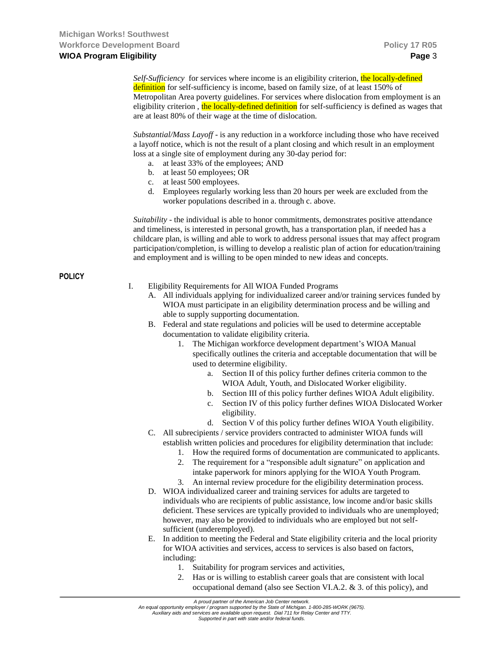*Self-Sufficiency* for services where income is an eligibility criterion, the locally-defined definition for self-sufficiency is income, based on family size, of at least 150% of Metropolitan Area poverty guidelines. For services where dislocation from employment is an eligibility criterion, the locally-defined definition for self-sufficiency is defined as wages that are at least 80% of their wage at the time of dislocation.

*Substantial/Mass Layoff* - is any reduction in a workforce including those who have received a layoff notice, which is not the result of a plant closing and which result in an employment loss at a single site of employment during any 30-day period for:

- a. at least 33% of the employees; AND
- b. at least 50 employees; OR
- c. at least 500 employees.
- d. Employees regularly working less than 20 hours per week are excluded from the worker populations described in a. through c. above.

*Suitability* - the individual is able to honor commitments, demonstrates positive attendance and timeliness, is interested in personal growth, has a transportation plan, if needed has a childcare plan, is willing and able to work to address personal issues that may affect program participation/completion, is willing to develop a realistic plan of action for education/training and employment and is willing to be open minded to new ideas and concepts.

**POLICY**

- I. Eligibility Requirements for All WIOA Funded Programs
	- A. All individuals applying for individualized career and/or training services funded by WIOA must participate in an eligibility determination process and be willing and able to supply supporting documentation.
	- B. Federal and state regulations and policies will be used to determine acceptable documentation to validate eligibility criteria.
		- 1. The Michigan workforce development department's WIOA Manual specifically outlines the criteria and acceptable documentation that will be used to determine eligibility.
			- a. Section II of this policy further defines criteria common to the WIOA Adult, Youth, and Dislocated Worker eligibility.
			- b. Section III of this policy further defines WIOA Adult eligibility.
			- c. Section IV of this policy further defines WIOA Dislocated Worker eligibility.
			- d. Section V of this policy further defines WIOA Youth eligibility.
	- C. All subrecipients / service providers contracted to administer WIOA funds will establish written policies and procedures for eligibility determination that include:
		- 1. How the required forms of documentation are communicated to applicants.
		- 2. The requirement for a "responsible adult signature" on application and intake paperwork for minors applying for the WIOA Youth Program.
		- 3. An internal review procedure for the eligibility determination process.
	- D. WIOA individualized career and training services for adults are targeted to individuals who are recipients of public assistance, low income and/or basic skills deficient. These services are typically provided to individuals who are unemployed; however, may also be provided to individuals who are employed but not selfsufficient (underemployed).
	- E. In addition to meeting the Federal and State eligibility criteria and the local priority for WIOA activities and services, access to services is also based on factors, including:
		- 1. Suitability for program services and activities,
		- 2. Has or is willing to establish career goals that are consistent with local occupational demand (also see Section VI.A.2. & 3. of this policy), and

*A proud partner of the American Job Center network.*

*An equal opportunity employer / program supported by the State of Michigan. 1-800-285-WORK (9675). Auxiliary aids and services are available upon request. Dial 711 for Relay Center and TTY.*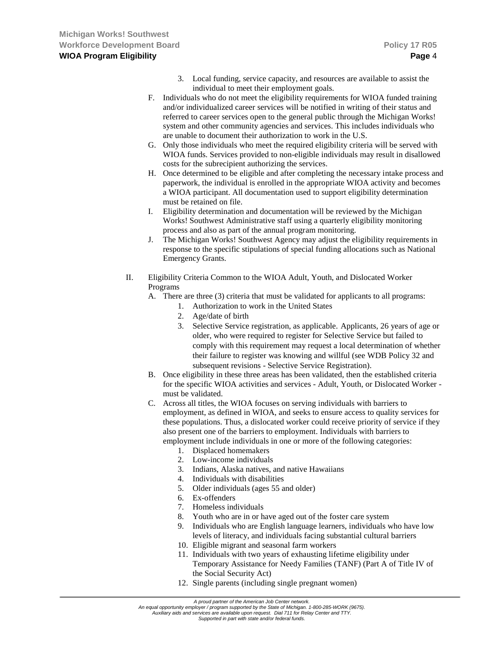- 3. Local funding, service capacity, and resources are available to assist the individual to meet their employment goals.
- F. Individuals who do not meet the eligibility requirements for WIOA funded training and/or individualized career services will be notified in writing of their status and referred to career services open to the general public through the Michigan Works! system and other community agencies and services. This includes individuals who are unable to document their authorization to work in the U.S.
- G. Only those individuals who meet the required eligibility criteria will be served with WIOA funds. Services provided to non-eligible individuals may result in disallowed costs for the subrecipient authorizing the services.
- H. Once determined to be eligible and after completing the necessary intake process and paperwork, the individual is enrolled in the appropriate WIOA activity and becomes a WIOA participant. All documentation used to support eligibility determination must be retained on file.
- I. Eligibility determination and documentation will be reviewed by the Michigan Works! Southwest Administrative staff using a quarterly eligibility monitoring process and also as part of the annual program monitoring.
- J. The Michigan Works! Southwest Agency may adjust the eligibility requirements in response to the specific stipulations of special funding allocations such as National Emergency Grants.
- II. Eligibility Criteria Common to the WIOA Adult, Youth, and Dislocated Worker Programs
	- A. There are three (3) criteria that must be validated for applicants to all programs:
		- 1. Authorization to work in the United States
		- 2. Age/date of birth
		- 3. Selective Service registration, as applicable. Applicants, 26 years of age or older, who were required to register for Selective Service but failed to comply with this requirement may request a local determination of whether their failure to register was knowing and willful (see WDB Policy 32 and subsequent revisions - Selective Service Registration).
	- B. Once eligibility in these three areas has been validated, then the established criteria for the specific WIOA activities and services - Adult, Youth, or Dislocated Worker must be validated.
	- C. Across all titles, the WIOA focuses on serving individuals with barriers to employment, as defined in WIOA, and seeks to ensure access to quality services for these populations. Thus, a dislocated worker could receive priority of service if they also present one of the barriers to employment. Individuals with barriers to employment include individuals in one or more of the following categories:
		- 1. Displaced homemakers
		- 2. Low-income individuals
		- 3. Indians, Alaska natives, and native Hawaiians
		- 4. Individuals with disabilities
		- 5. Older individuals (ages 55 and older)
		- 6. Ex-offenders
		- 7. Homeless individuals
		- 8. Youth who are in or have aged out of the foster care system
		- 9. Individuals who are English language learners, individuals who have low levels of literacy, and individuals facing substantial cultural barriers
		- 10. Eligible migrant and seasonal farm workers
		- 11. Individuals with two years of exhausting lifetime eligibility under Temporary Assistance for Needy Families (TANF) (Part A of Title IV of the Social Security Act)
		- 12. Single parents (including single pregnant women)

*An equal opportunity employer / program supported by the State of Michigan. 1-800-285-WORK (9675). Auxiliary aids and services are available upon request. Dial 711 for Relay Center and TTY.*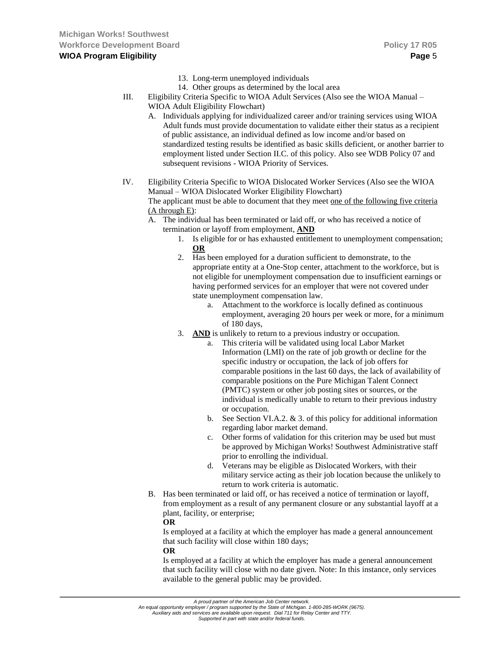- 13. Long-term unemployed individuals
- 14. Other groups as determined by the local area
- III. Eligibility Criteria Specific to WIOA Adult Services (Also see the WIOA Manual WIOA Adult Eligibility Flowchart)
	- A. Individuals applying for individualized career and/or training services using WIOA Adult funds must provide documentation to validate either their status as a recipient of public assistance, an individual defined as low income and/or based on standardized testing results be identified as basic skills deficient, or another barrier to employment listed under Section II.C. of this policy. Also see WDB Policy 07 and subsequent revisions - WIOA Priority of Services.
- IV. Eligibility Criteria Specific to WIOA Dislocated Worker Services (Also see the WIOA Manual – WIOA Dislocated Worker Eligibility Flowchart) The applicant must be able to document that they meet one of the following five criteria (A through E):
	- A. The individual has been terminated or laid off, or who has received a notice of termination or layoff from employment, **AND**
		- 1. Is eligible for or has exhausted entitlement to unemployment compensation; **OR**
		- 2. Has been employed for a duration sufficient to demonstrate, to the appropriate entity at a One-Stop center, attachment to the workforce, but is not eligible for unemployment compensation due to insufficient earnings or having performed services for an employer that were not covered under state unemployment compensation law.
			- a. Attachment to the workforce is locally defined as continuous employment, averaging 20 hours per week or more, for a minimum of 180 days,
		- 3. **AND** is unlikely to return to a previous industry or occupation.
			- This criteria will be validated using local Labor Market Information (LMI) on the rate of job growth or decline for the specific industry or occupation, the lack of job offers for comparable positions in the last 60 days, the lack of availability of comparable positions on the Pure Michigan Talent Connect (PMTC) system or other job posting sites or sources, or the individual is medically unable to return to their previous industry or occupation.
			- b. See Section VI.A.2. & 3. of this policy for additional information regarding labor market demand.
			- c. Other forms of validation for this criterion may be used but must be approved by Michigan Works! Southwest Administrative staff prior to enrolling the individual.
			- d. Veterans may be eligible as Dislocated Workers, with their military service acting as their job location because the unlikely to return to work criteria is automatic.
	- B. Has been terminated or laid off, or has received a notice of termination or layoff, from employment as a result of any permanent closure or any substantial layoff at a plant, facility, or enterprise;
		- **OR**

Is employed at a facility at which the employer has made a general announcement that such facility will close within 180 days;

### **OR**

Is employed at a facility at which the employer has made a general announcement that such facility will close with no date given. Note: In this instance, only services available to the general public may be provided.

*An equal opportunity employer / program supported by the State of Michigan. 1-800-285-WORK (9675). Auxiliary aids and services are available upon request. Dial 711 for Relay Center and TTY.*

*A proud partner of the American Job Center network.*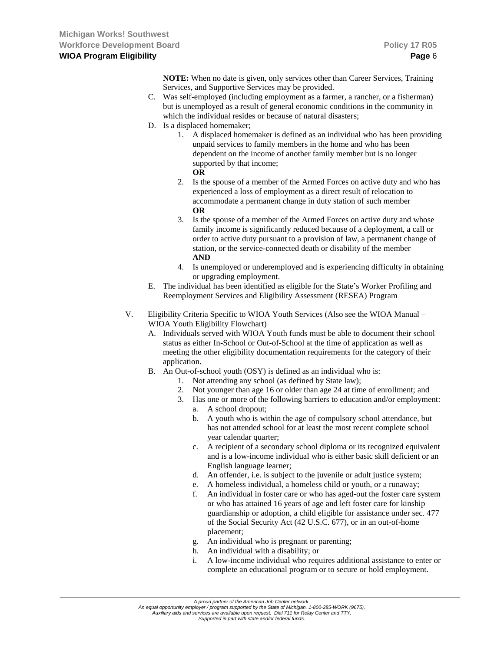**NOTE:** When no date is given, only services other than Career Services, Training Services, and Supportive Services may be provided.

- C. Was self-employed (including employment as a farmer, a rancher, or a fisherman) but is unemployed as a result of general economic conditions in the community in which the individual resides or because of natural disasters;
- D. Is a displaced homemaker;
	- 1. A displaced homemaker is defined as an individual who has been providing unpaid services to family members in the home and who has been dependent on the income of another family member but is no longer supported by that income;

```
OR
```
- 2. Is the spouse of a member of the Armed Forces on active duty and who has experienced a loss of employment as a direct result of relocation to accommodate a permanent change in duty station of such member **OR**
- 3. Is the spouse of a member of the Armed Forces on active duty and whose family income is significantly reduced because of a deployment, a call or order to active duty pursuant to a provision of law, a permanent change of station, or the service-connected death or disability of the member **AND**
- 4. Is unemployed or underemployed and is experiencing difficulty in obtaining or upgrading employment.
- E. The individual has been identified as eligible for the State's Worker Profiling and Reemployment Services and Eligibility Assessment (RESEA) Program
- V. Eligibility Criteria Specific to WIOA Youth Services (Also see the WIOA Manual WIOA Youth Eligibility Flowchart)
	- A. Individuals served with WIOA Youth funds must be able to document their school status as either In-School or Out-of-School at the time of application as well as meeting the other eligibility documentation requirements for the category of their application.
	- B. An Out-of-school youth (OSY) is defined as an individual who is:
		- 1. Not attending any school (as defined by State law);
		- 2. Not younger than age 16 or older than age 24 at time of enrollment; and
		- 3. Has one or more of the following barriers to education and/or employment:
			- a. A school dropout;
			- b. A youth who is within the age of compulsory school attendance, but has not attended school for at least the most recent complete school year calendar quarter;
			- c. A recipient of a secondary school diploma or its recognized equivalent and is a low-income individual who is either basic skill deficient or an English language learner;
			- d. An offender, i.e. is subject to the juvenile or adult justice system;
			- e. A homeless individual, a homeless child or youth, or a runaway;
			- f. An individual in foster care or who has aged-out the foster care system or who has attained 16 years of age and left foster care for kinship guardianship or adoption, a child eligible for assistance under sec. 477 of the Social Security Act (42 U.S.C. 677), or in an out-of-home placement;
			- g. An individual who is pregnant or parenting;
			- h. An individual with a disability; or
			- i. A low-income individual who requires additional assistance to enter or complete an educational program or to secure or hold employment.

*An equal opportunity employer / program supported by the State of Michigan. 1-800-285-WORK (9675). Auxiliary aids and services are available upon request. Dial 711 for Relay Center and TTY.*

*A proud partner of the American Job Center network.*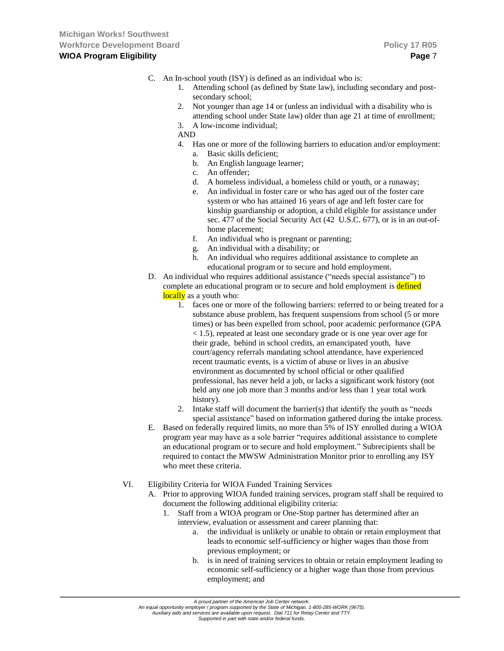- C. An In-school youth (ISY) is defined as an individual who is:
	- 1. Attending school (as defined by State law), including secondary and postsecondary school;
	- 2. Not younger than age 14 or (unless an individual with a disability who is attending school under State law) older than age 21 at time of enrollment;
	- 3. A low-income individual;

AND

- 4. Has one or more of the following barriers to education and/or employment:
	- a. Basic skills deficient;
	- b. An English language learner;
	- c. An offender;
	- d. A homeless individual, a homeless child or youth, or a runaway;
	- e. An individual in foster care or who has aged out of the foster care system or who has attained 16 years of age and left foster care for kinship guardianship or adoption, a child eligible for assistance under sec. 477 of the Social Security Act (42 U.S.C. 677), or is in an out-ofhome placement;
	- f. An individual who is pregnant or parenting;
	- g. An individual with a disability; or
	- h. An individual who requires additional assistance to complete an educational program or to secure and hold employment.
- D. An individual who requires additional assistance ("needs special assistance") to complete an educational program or to secure and hold employment is **defined** locally as a youth who:
	- 1. faces one or more of the following barriers: referred to or being treated for a substance abuse problem, has frequent suspensions from school (5 or more times) or has been expelled from school, poor academic performance (GPA < 1.5), repeated at least one secondary grade or is one year over age for their grade, behind in school credits, an emancipated youth, have court/agency referrals mandating school attendance, have experienced recent traumatic events, is a victim of abuse or lives in an abusive environment as documented by school official or other qualified professional, has never held a job, or lacks a significant work history (not held any one job more than 3 months and/or less than 1 year total work history).
	- 2. Intake staff will document the barrier(s) that identify the youth as "needs special assistance" based on information gathered during the intake process.
- E. Based on federally required limits, no more than 5% of ISY enrolled during a WIOA program year may have as a sole barrier "requires additional assistance to complete an educational program or to secure and hold employment." Subrecipients shall be required to contact the MWSW Administration Monitor prior to enrolling any ISY who meet these criteria.
- VI. Eligibility Criteria for WIOA Funded Training Services
	- A. Prior to approving WIOA funded training services, program staff shall be required to document the following additional eligibility criteria:
		- 1. Staff from a WIOA program or One-Stop partner has determined after an interview, evaluation or assessment and career planning that:
			- a. the individual is unlikely or unable to obtain or retain employment that leads to economic self-sufficiency or higher wages than those from previous employment; or
			- b. is in need of training services to obtain or retain employment leading to economic self-sufficiency or a higher wage than those from previous employment; and

*An equal opportunity employer / program supported by the State of Michigan. 1-800-285-WORK (9675). Auxiliary aids and services are available upon request. Dial 711 for Relay Center and TTY.*

*A proud partner of the American Job Center network.*